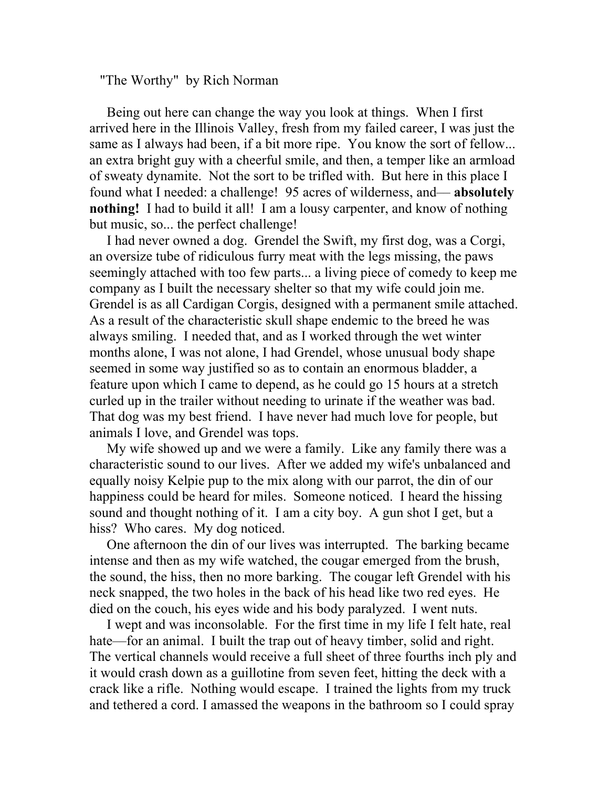"The Worthy" by Rich Norman

 Being out here can change the way you look at things. When I first arrived here in the Illinois Valley, fresh from my failed career, I was just the same as I always had been, if a bit more ripe. You know the sort of fellow... an extra bright guy with a cheerful smile, and then, a temper like an armload of sweaty dynamite. Not the sort to be trifled with. But here in this place I found what I needed: a challenge! 95 acres of wilderness, and–– **absolutely nothing!** I had to build it all! I am a lousy carpenter, and know of nothing but music, so... the perfect challenge!

 I had never owned a dog. Grendel the Swift, my first dog, was a Corgi, an oversize tube of ridiculous furry meat with the legs missing, the paws seemingly attached with too few parts... a living piece of comedy to keep me company as I built the necessary shelter so that my wife could join me. Grendel is as all Cardigan Corgis, designed with a permanent smile attached. As a result of the characteristic skull shape endemic to the breed he was always smiling. I needed that, and as I worked through the wet winter months alone, I was not alone, I had Grendel, whose unusual body shape seemed in some way justified so as to contain an enormous bladder, a feature upon which I came to depend, as he could go 15 hours at a stretch curled up in the trailer without needing to urinate if the weather was bad. That dog was my best friend. I have never had much love for people, but animals I love, and Grendel was tops.

 My wife showed up and we were a family. Like any family there was a characteristic sound to our lives. After we added my wife's unbalanced and equally noisy Kelpie pup to the mix along with our parrot, the din of our happiness could be heard for miles. Someone noticed. I heard the hissing sound and thought nothing of it. I am a city boy. A gun shot I get, but a hiss? Who cares. My dog noticed.

 One afternoon the din of our lives was interrupted. The barking became intense and then as my wife watched, the cougar emerged from the brush, the sound, the hiss, then no more barking. The cougar left Grendel with his neck snapped, the two holes in the back of his head like two red eyes. He died on the couch, his eyes wide and his body paralyzed. I went nuts.

 I wept and was inconsolable. For the first time in my life I felt hate, real hate—for an animal. I built the trap out of heavy timber, solid and right. The vertical channels would receive a full sheet of three fourths inch ply and it would crash down as a guillotine from seven feet, hitting the deck with a crack like a rifle. Nothing would escape. I trained the lights from my truck and tethered a cord. I amassed the weapons in the bathroom so I could spray